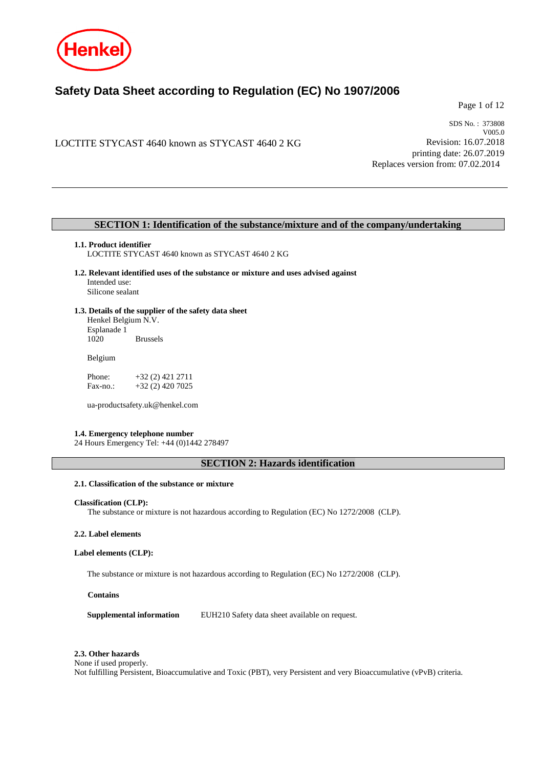

# **Safety Data Sheet according to Regulation (EC) No 1907/2006**

Page 1 of 12

LOCTITE STYCAST 4640 known as STYCAST 4640 2 KG

SDS No. : 373808 V005.0 Revision: 16.07.2018 printing date: 26.07.2019 Replaces version from: 07.02.2014

## **SECTION 1: Identification of the substance/mixture and of the company/undertaking**

#### **1.1. Product identifier**

LOCTITE STYCAST 4640 known as STYCAST 4640 2 KG

- **1.2. Relevant identified uses of the substance or mixture and uses advised against** Intended use: Silicone sealant
- **1.3. Details of the supplier of the safety data sheet** Henkel Belgium N.V. Esplanade 1

**Brussels** 

Belgium

Phone: +32 (2) 421 2711 Fax-no.: +32 (2) 420 7025

ua-productsafety.uk@henkel.com

### **1.4. Emergency telephone number**

24 Hours Emergency Tel: +44 (0)1442 278497

**SECTION 2: Hazards identification**

## **2.1. Classification of the substance or mixture**

### **Classification (CLP):**

The substance or mixture is not hazardous according to Regulation (EC) No 1272/2008 (CLP).

#### **2.2. Label elements**

### **Label elements (CLP):**

The substance or mixture is not hazardous according to Regulation (EC) No 1272/2008 (CLP).

### **Contains**

**Supplemental information** EUH210 Safety data sheet available on request.

### **2.3. Other hazards**

None if used properly.

Not fulfilling Persistent, Bioaccumulative and Toxic (PBT), very Persistent and very Bioaccumulative (vPvB) criteria.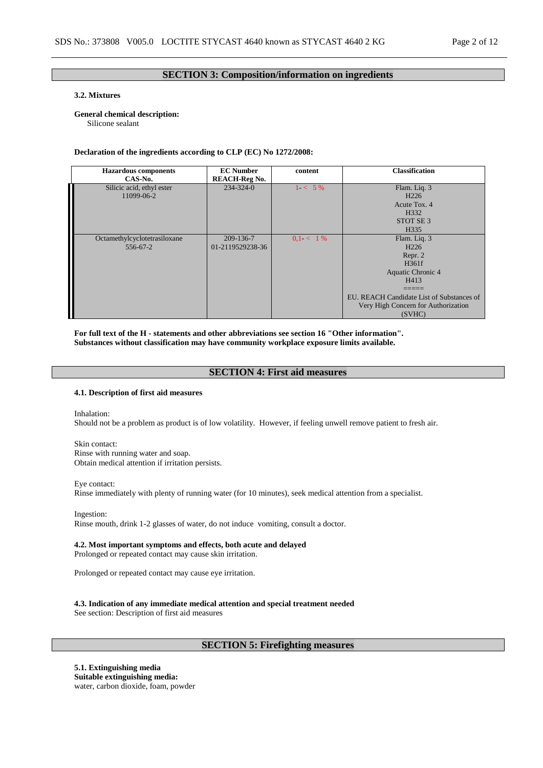## **SECTION 3: Composition/information on ingredients**

## **3.2. Mixtures**

### **General chemical description:**

Silicone sealant

### **Declaration of the ingredients according to CLP (EC) No 1272/2008:**

| <b>Hazardous</b> components<br>CAS-No.   | <b>EC Number</b><br><b>REACH-Reg No.</b> | content     | <b>Classification</b>                                                                                                                                                           |
|------------------------------------------|------------------------------------------|-------------|---------------------------------------------------------------------------------------------------------------------------------------------------------------------------------|
| Silicic acid, ethyl ester<br>11099-06-2  | $234 - 324 - 0$                          | $1 < 5\%$   | Flam. Liq. 3<br>H <sub>226</sub><br>Acute Tox. 4<br>H332<br>STOT SE <sub>3</sub><br>H <sub>335</sub>                                                                            |
| Octamethylcyclotetrasiloxane<br>556-67-2 | 209-136-7<br>01-2119529238-36            | $0.1 < 1\%$ | Flam. Liq. 3<br>H <sub>226</sub><br>Repr. 2<br>H361f<br>Aquatic Chronic 4<br>H413<br>EU. REACH Candidate List of Substances of<br>Very High Concern for Authorization<br>(SVHC) |

**For full text of the H - statements and other abbreviations see section 16 "Other information". Substances without classification may have community workplace exposure limits available.**

## **SECTION 4: First aid measures**

## **4.1. Description of first aid measures**

Inhalation: Should not be a problem as product is of low volatility. However, if feeling unwell remove patient to fresh air.

Skin contact: Rinse with running water and soap. Obtain medical attention if irritation persists.

Eye contact: Rinse immediately with plenty of running water (for 10 minutes), seek medical attention from a specialist.

Ingestion: Rinse mouth, drink 1-2 glasses of water, do not induce vomiting, consult a doctor.

## **4.2. Most important symptoms and effects, both acute and delayed**

Prolonged or repeated contact may cause skin irritation.

Prolonged or repeated contact may cause eye irritation.

**4.3. Indication of any immediate medical attention and special treatment needed**

See section: Description of first aid measures

## **SECTION 5: Firefighting measures**

**5.1. Extinguishing media Suitable extinguishing media:** water, carbon dioxide, foam, powder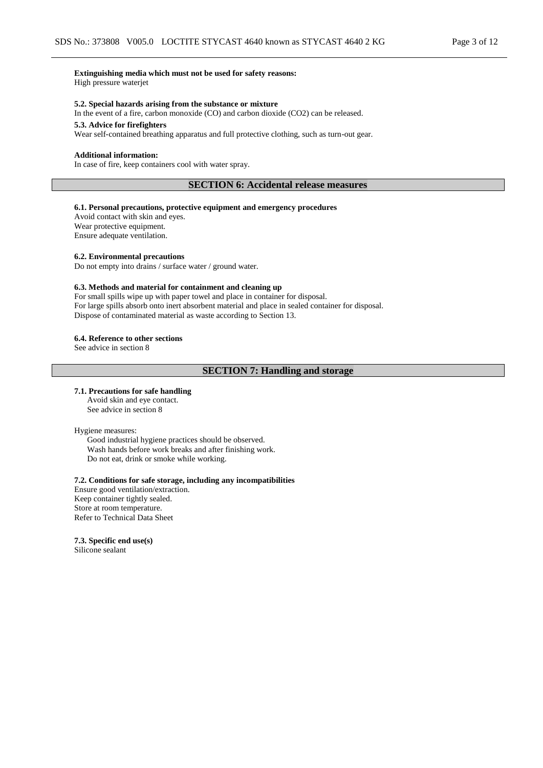## **Extinguishing media which must not be used for safety reasons:**

High pressure waterjet

### **5.2. Special hazards arising from the substance or mixture**

In the event of a fire, carbon monoxide (CO) and carbon dioxide (CO2) can be released.

## **5.3. Advice for firefighters**

Wear self-contained breathing apparatus and full protective clothing, such as turn-out gear.

#### **Additional information:**

In case of fire, keep containers cool with water spray.

## **SECTION 6: Accidental release measures**

### **6.1. Personal precautions, protective equipment and emergency procedures**

Avoid contact with skin and eyes. Wear protective equipment. Ensure adequate ventilation.

#### **6.2. Environmental precautions**

Do not empty into drains / surface water / ground water.

#### **6.3. Methods and material for containment and cleaning up**

For small spills wipe up with paper towel and place in container for disposal. For large spills absorb onto inert absorbent material and place in sealed container for disposal. Dispose of contaminated material as waste according to Section 13.

#### **6.4. Reference to other sections**

See advice in section 8

### **SECTION 7: Handling and storage**

#### **7.1. Precautions for safe handling**

Avoid skin and eye contact. See advice in section 8

Hygiene measures:

Good industrial hygiene practices should be observed. Wash hands before work breaks and after finishing work. Do not eat, drink or smoke while working.

## **7.2. Conditions for safe storage, including any incompatibilities**

Ensure good ventilation/extraction. Keep container tightly sealed. Store at room temperature. Refer to Technical Data Sheet

#### **7.3. Specific end use(s)**

Silicone sealant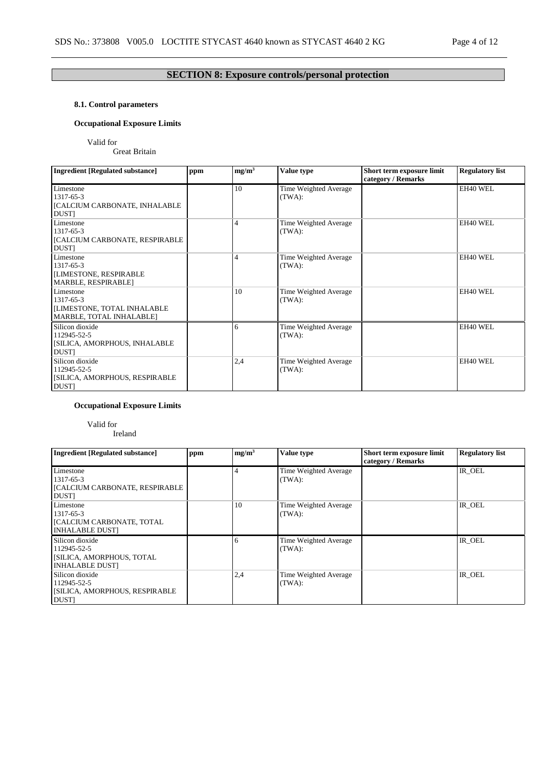## **SECTION 8: Exposure controls/personal protection**

## **8.1. Control parameters**

## **Occupational Exposure Limits**

Valid for

Great Britain

| <b>Ingredient [Regulated substance]</b>                                           | ppm | mg/m <sup>3</sup> | Value type                      | Short term exposure limit<br>category / Remarks | <b>Regulatory list</b> |
|-----------------------------------------------------------------------------------|-----|-------------------|---------------------------------|-------------------------------------------------|------------------------|
| Limestone<br>1317-65-3<br>[CALCIUM CARBONATE, INHALABLE<br><b>DUST</b>            |     | 10                | Time Weighted Average<br>(TWA): |                                                 | EH40 WEL               |
| Limestone<br>1317-65-3<br><b>[CALCIUM CARBONATE, RESPIRABLE</b><br><b>DUST</b>    |     | 4                 | Time Weighted Average<br>(TWA): |                                                 | EH40 WEL               |
| Limestone<br>1317-65-3<br>[LIMESTONE, RESPIRABLE<br>MARBLE, RESPIRABLE]           |     | 4                 | Time Weighted Average<br>(TWA): |                                                 | EH40 WEL               |
| Limestone<br>1317-65-3<br>[LIMESTONE, TOTAL INHALABLE<br>MARBLE, TOTAL INHALABLE] |     | 10                | Time Weighted Average<br>(TWA): |                                                 | EH40 WEL               |
| Silicon dioxide<br>112945-52-5<br>[SILICA, AMORPHOUS, INHALABLE<br><b>DUST</b>    |     | 6                 | Time Weighted Average<br>(TWA): |                                                 | EH40 WEL               |
| Silicon dioxide<br>112945-52-5<br>[SILICA, AMORPHOUS, RESPIRABLE<br>DUST]         |     | 2,4               | Time Weighted Average<br>(TWA): |                                                 | EH40 WEL               |

## **Occupational Exposure Limits**

## Valid for

Ireland

| <b>Ingredient [Regulated substance]</b>                                                 | ppm | mg/m <sup>3</sup> | Value type                      | Short term exposure limit<br>category / Remarks | <b>Regulatory list</b> |
|-----------------------------------------------------------------------------------------|-----|-------------------|---------------------------------|-------------------------------------------------|------------------------|
| Limestone<br>1317-65-3<br>  [CALCIUM CARBONATE, RESPIRABLE<br><b>DUST</b>               |     |                   | Time Weighted Average<br>(TWA): |                                                 | IR OEL                 |
| Limestone<br>1317-65-3<br>  [CALCIUM CARBONATE, TOTAL<br><b>INHALABLE DUST]</b>         |     | 10                | Time Weighted Average<br>(TWA): |                                                 | IR OEL                 |
| Silicon dioxide<br>112945-52-5<br>  [SILICA, AMORPHOUS, TOTAL<br><b>INHALABLE DUSTI</b> |     | 6                 | Time Weighted Average<br>(TWA): |                                                 | IR OEL                 |
| Silicon dioxide<br>112945-52-5<br>[SILICA, AMORPHOUS, RESPIRABLE<br><b>DUST</b>         |     | 2,4               | Time Weighted Average<br>(TWA): |                                                 | IR OEL                 |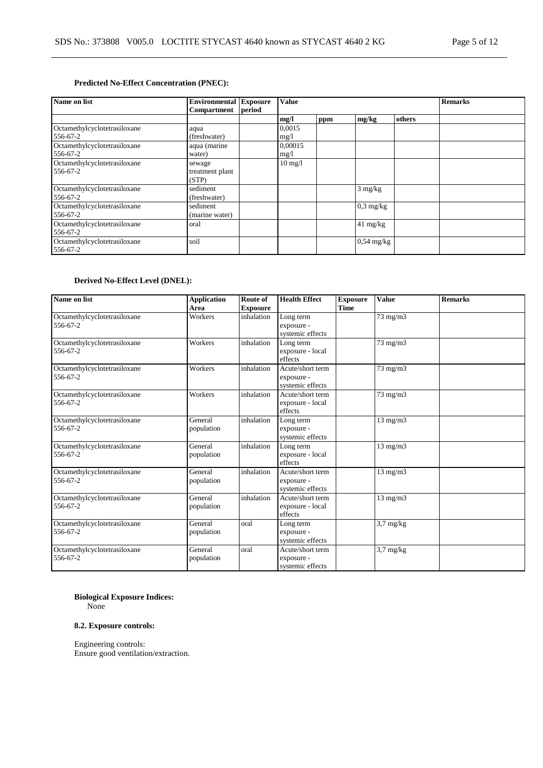## **Predicted No-Effect Concentration (PNEC):**

| Name on list                             | <b>Environmental Exposure</b><br><b>Value</b><br>period<br>Compartment |  |                   |     |                     | <b>Remarks</b> |  |
|------------------------------------------|------------------------------------------------------------------------|--|-------------------|-----|---------------------|----------------|--|
|                                          |                                                                        |  | mg/l              | ppm | mg/kg               | others         |  |
| Octamethylcyclotetrasiloxane<br>556-67-2 | aqua<br>(freshwater)                                                   |  | 0,0015<br>mg/1    |     |                     |                |  |
| Octamethylcyclotetrasiloxane<br>556-67-2 | aqua (marine<br>water)                                                 |  | 0,00015<br>mg/1   |     |                     |                |  |
| Octamethylcyclotetrasiloxane<br>556-67-2 | sewage<br>treatment plant<br>(STP)                                     |  | $10 \text{ mg}/1$ |     |                     |                |  |
| Octamethylcyclotetrasiloxane<br>556-67-2 | sediment<br>(freshwater)                                               |  |                   |     | $3$ mg/kg           |                |  |
| Octamethylcyclotetrasiloxane<br>556-67-2 | sediment<br>(marine water)                                             |  |                   |     | $0.3 \text{ mg/kg}$ |                |  |
| Octamethylcyclotetrasiloxane<br>556-67-2 | oral                                                                   |  |                   |     | $41 \text{ mg/kg}$  |                |  |
| Octamethylcyclotetrasiloxane<br>556-67-2 | soil                                                                   |  |                   |     | $0,54$ mg/kg        |                |  |

## **Derived No-Effect Level (DNEL):**

| Name on list                             | <b>Application</b><br>Area | Route of<br><b>Exposure</b> | <b>Health Effect</b>                               | <b>Exposure</b><br><b>Time</b> | <b>Value</b>            | <b>Remarks</b> |
|------------------------------------------|----------------------------|-----------------------------|----------------------------------------------------|--------------------------------|-------------------------|----------------|
| Octamethylcyclotetrasiloxane<br>556-67-2 | Workers                    | inhalation                  | Long term<br>exposure -<br>systemic effects        |                                | $73 \text{ mg/m}$       |                |
| Octamethylcyclotetrasiloxane<br>556-67-2 | Workers                    | inhalation                  | Long term<br>exposure - local<br>effects           |                                | $73 \text{ mg/m}$       |                |
| Octamethylcyclotetrasiloxane<br>556-67-2 | Workers                    | inhalation                  | Acute/short term<br>exposure -<br>systemic effects |                                | 73 mg/m3                |                |
| Octamethylcyclotetrasiloxane<br>556-67-2 | Workers                    | inhalation                  | Acute/short term<br>exposure - local<br>effects    |                                | 73 mg/m3                |                |
| Octamethylcyclotetrasiloxane<br>556-67-2 | General<br>population      | inhalation                  | Long term<br>exposure -<br>systemic effects        |                                | $13$ mg/m $3$           |                |
| Octamethylcyclotetrasiloxane<br>556-67-2 | General<br>population      | inhalation                  | Long term<br>exposure - local<br>effects           |                                | $13$ mg/m $3$           |                |
| Octamethylcyclotetrasiloxane<br>556-67-2 | General<br>population      | inhalation                  | Acute/short term<br>exposure -<br>systemic effects |                                | $13$ mg/m $3$           |                |
| Octamethylcyclotetrasiloxane<br>556-67-2 | General<br>population      | inhalation                  | Acute/short term<br>exposure - local<br>effects    |                                | $13 \text{ mg/m}$       |                |
| Octamethylcyclotetrasiloxane<br>556-67-2 | General<br>population      | oral                        | Long term<br>exposure -<br>systemic effects        |                                | $3,7$ mg/kg             |                |
| Octamethylcyclotetrasiloxane<br>556-67-2 | General<br>population      | oral                        | Acute/short term<br>exposure -<br>systemic effects |                                | $\overline{3}$ ,7 mg/kg |                |

## **Biological Exposure Indices:**

None

## **8.2. Exposure controls:**

Engineering controls: Ensure good ventilation/extraction.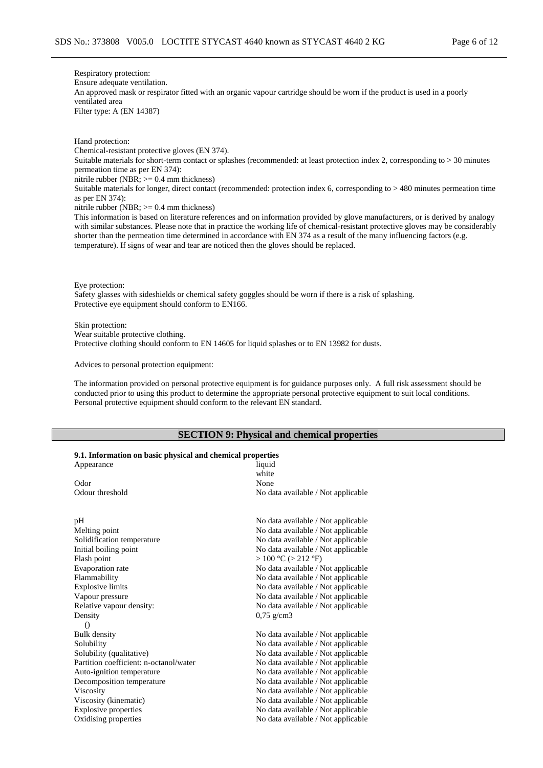Respiratory protection: Ensure adequate ventilation. An approved mask or respirator fitted with an organic vapour cartridge should be worn if the product is used in a poorly ventilated area Filter type: A (EN 14387)

Hand protection: Chemical-resistant protective gloves (EN 374). Suitable materials for short-term contact or splashes (recommended: at least protection index 2, corresponding to > 30 minutes permeation time as per EN 374): nitrile rubber (NBR; >= 0.4 mm thickness) Suitable materials for longer, direct contact (recommended: protection index 6, corresponding to > 480 minutes permeation time as per EN 374): nitrile rubber (NBR;  $>= 0.4$  mm thickness)

This information is based on literature references and on information provided by glove manufacturers, or is derived by analogy with similar substances. Please note that in practice the working life of chemical-resistant protective gloves may be considerably shorter than the permeation time determined in accordance with EN 374 as a result of the many influencing factors (e.g. temperature). If signs of wear and tear are noticed then the gloves should be replaced.

Eye protection:

Safety glasses with sideshields or chemical safety goggles should be worn if there is a risk of splashing. Protective eye equipment should conform to EN166.

Skin protection:

Wear suitable protective clothing.

Protective clothing should conform to EN 14605 for liquid splashes or to EN 13982 for dusts.

Advices to personal protection equipment:

The information provided on personal protective equipment is for guidance purposes only. A full risk assessment should be conducted prior to using this product to determine the appropriate personal protective equipment to suit local conditions. Personal protective equipment should conform to the relevant EN standard.

## **SECTION 9: Physical and chemical properties**

### **9.1. Information on basic physical and chemical properties**

| 1. milot mattion on basic physical and chemical properties<br>Appearance | liquid                                  |
|--------------------------------------------------------------------------|-----------------------------------------|
|                                                                          | white                                   |
| Odor                                                                     | None                                    |
| Odour threshold                                                          | No data available / Not applicable      |
|                                                                          |                                         |
| pН                                                                       | No data available / Not applicable      |
| Melting point                                                            | No data available / Not applicable      |
| Solidification temperature                                               | No data available / Not applicable      |
| Initial boiling point                                                    | No data available / Not applicable      |
| Flash point                                                              | $>100 \text{ °C}$ ( $>212 \text{ °F}$ ) |
| Evaporation rate                                                         | No data available / Not applicable      |
| Flammability                                                             | No data available / Not applicable      |
| <b>Explosive limits</b>                                                  | No data available / Not applicable      |
| Vapour pressure                                                          | No data available / Not applicable      |
| Relative vapour density:                                                 | No data available / Not applicable      |
| Density                                                                  | $0,75 \text{ g/cm}$ 3                   |
| $\Omega$                                                                 |                                         |
| <b>Bulk</b> density                                                      | No data available / Not applicable      |
| Solubility                                                               | No data available / Not applicable      |
| Solubility (qualitative)                                                 | No data available / Not applicable      |
| Partition coefficient: n-octanol/water                                   | No data available / Not applicable      |
| Auto-ignition temperature                                                | No data available / Not applicable      |
| Decomposition temperature                                                | No data available / Not applicable      |
| Viscosity                                                                | No data available / Not applicable      |
| Viscosity (kinematic)                                                    | No data available / Not applicable      |
| Explosive properties                                                     | No data available / Not applicable      |
| Oxidising properties                                                     | No data available / Not applicable      |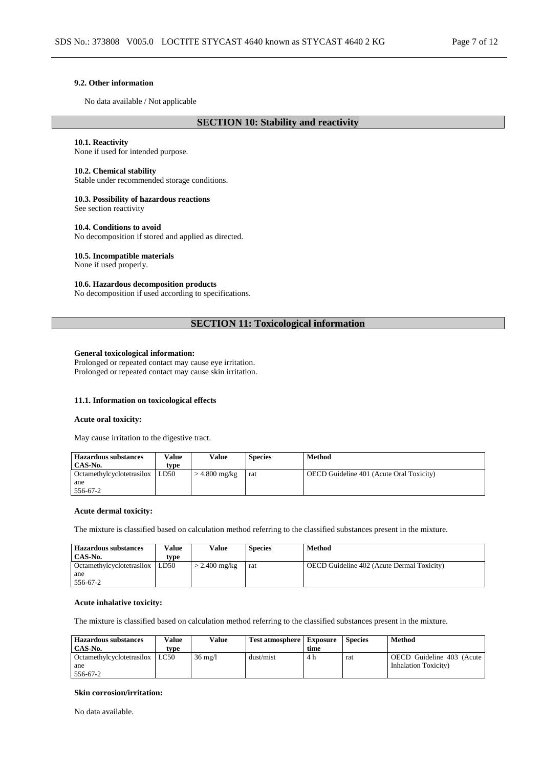#### **9.2. Other information**

No data available / Not applicable

### **SECTION 10: Stability and reactivity**

### **10.1. Reactivity**

None if used for intended purpose.

#### **10.2. Chemical stability**

Stable under recommended storage conditions.

#### **10.3. Possibility of hazardous reactions**

See section reactivity

### **10.4. Conditions to avoid**

No decomposition if stored and applied as directed.

### **10.5. Incompatible materials**

None if used properly.

## **10.6. Hazardous decomposition products**

No decomposition if used according to specifications.

## **SECTION 11: Toxicological information**

## **General toxicological information:**

Prolonged or repeated contact may cause eye irritation. Prolonged or repeated contact may cause skin irritation.

## **11.1. Information on toxicological effects**

#### **Acute oral toxicity:**

May cause irritation to the digestive tract.

| <b>Hazardous substances</b> | Value | Value           | <b>Species</b> | <b>Method</b>                                   |
|-----------------------------|-------|-----------------|----------------|-------------------------------------------------|
| CAS-No.                     | tvpe  |                 |                |                                                 |
| Octamethylcyclotetrasilox   | LD50  | $>$ 4.800 mg/kg | rat            | <b>OECD</b> Guideline 401 (Acute Oral Toxicity) |
| ane                         |       |                 |                |                                                 |
| 556-67-2                    |       |                 |                |                                                 |

#### **Acute dermal toxicity:**

The mixture is classified based on calculation method referring to the classified substances present in the mixture.

| <b>Hazardous substances</b>      | Value | Value           | <b>Species</b> | Method                                            |
|----------------------------------|-------|-----------------|----------------|---------------------------------------------------|
| CAS-No.                          | type  |                 |                |                                                   |
| Octamethylcyclotetrasilox   LD50 |       | $>$ 2.400 mg/kg | rat            | <b>OECD</b> Guideline 402 (Acute Dermal Toxicity) |
| ane                              |       |                 |                |                                                   |
| 556-67-2                         |       |                 |                |                                                   |

### **Acute inhalative toxicity:**

The mixture is classified based on calculation method referring to the classified substances present in the mixture.

| <b>Hazardous substances</b> | Value | Value             | <b>Test atmosphere</b>   Exposure |      | <b>Species</b> | Method                    |
|-----------------------------|-------|-------------------|-----------------------------------|------|----------------|---------------------------|
| CAS-No.                     | tvpe  |                   |                                   | time |                |                           |
| Octamethylcyclotetrasilox   | LC50  | $36 \text{ mg}/1$ | dust/mist                         | 4 h  | rat            | OECD Guideline 403 (Acute |
| ane                         |       |                   |                                   |      |                | Inhalation Toxicity)      |
| 556-67-2                    |       |                   |                                   |      |                |                           |

#### **Skin corrosion/irritation:**

No data available.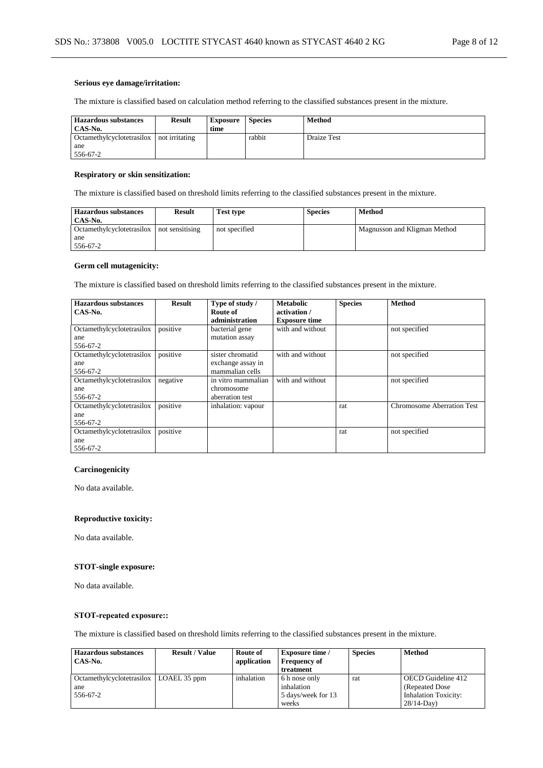### **Serious eye damage/irritation:**

The mixture is classified based on calculation method referring to the classified substances present in the mixture.

| <b>Hazardous substances</b><br>CAS-No. | <b>Result</b>  | <b>Exposure</b><br>time | <b>Species</b> | Method      |
|----------------------------------------|----------------|-------------------------|----------------|-------------|
| Octamethylcyclotetrasilox              | not irritating |                         | rabbit         | Draize Test |
| ane                                    |                |                         |                |             |
| 556-67-2                               |                |                         |                |             |

## **Respiratory or skin sensitization:**

The mixture is classified based on threshold limits referring to the classified substances present in the mixture.

| <b>Hazardous substances</b><br>CAS-No.    | <b>Result</b> | <b>Test type</b> | <b>Species</b> | Method                       |
|-------------------------------------------|---------------|------------------|----------------|------------------------------|
| Octamethylcyclotetrasilox not sensitising |               | not specified    |                | Magnusson and Kligman Method |
| ane                                       |               |                  |                |                              |
| 556-67-2                                  |               |                  |                |                              |

### **Germ cell mutagenicity:**

The mixture is classified based on threshold limits referring to the classified substances present in the mixture.

| <b>Hazardous substances</b><br>CAS-No. | <b>Result</b> | Type of study /<br>Route of | <b>Metabolic</b><br>activation / | <b>Species</b> | <b>Method</b>                     |
|----------------------------------------|---------------|-----------------------------|----------------------------------|----------------|-----------------------------------|
|                                        |               | administration              | <b>Exposure time</b>             |                |                                   |
| Octamethylcyclotetrasilox              | positive      | bacterial gene              | with and without                 |                | not specified                     |
| ane                                    |               | mutation assay              |                                  |                |                                   |
| 556-67-2                               |               |                             |                                  |                |                                   |
| Octamethylcyclotetrasilox              | positive      | sister chromatid            | with and without                 |                | not specified                     |
| ane                                    |               | exchange assay in           |                                  |                |                                   |
| 556-67-2                               |               | mammalian cells             |                                  |                |                                   |
| Octamethylcyclotetrasilox              | negative      | in vitro mammalian          | with and without                 |                | not specified                     |
| ane                                    |               | chromosome                  |                                  |                |                                   |
| 556-67-2                               |               | aberration test             |                                  |                |                                   |
| Octamethylcyclotetrasilox              | positive      | inhalation: vapour          |                                  | rat            | <b>Chromosome Aberration Test</b> |
| ane                                    |               |                             |                                  |                |                                   |
| 556-67-2                               |               |                             |                                  |                |                                   |
| Octamethylcyclotetrasilox              | positive      |                             |                                  | rat            | not specified                     |
| ane                                    |               |                             |                                  |                |                                   |
| 556-67-2                               |               |                             |                                  |                |                                   |

## **Carcinogenicity**

No data available.

#### **Reproductive toxicity:**

No data available.

## **STOT-single exposure:**

No data available.

## **STOT-repeated exposure::**

The mixture is classified based on threshold limits referring to the classified substances present in the mixture.

| <b>Hazardous substances</b>      | <b>Result / Value</b> | Route of    | <b>Exposure time</b> / | <b>Species</b> | <b>Method</b>               |
|----------------------------------|-----------------------|-------------|------------------------|----------------|-----------------------------|
| CAS-No.                          |                       | application | <b>Frequency of</b>    |                |                             |
|                                  |                       |             | treatment              |                |                             |
| <b>Octamethylcyclotetrasilox</b> | LOAEL 35 ppm          | inhalation  | 6 h nose only          | rat            | OECD Guideline 412          |
| ane                              |                       |             | inhalation             |                | (Repeated Dose)             |
| 556-67-2                         |                       |             | 5 days/week for 13     |                | <b>Inhalation Toxicity:</b> |
|                                  |                       |             | weeks                  |                | $28/14-Dav$                 |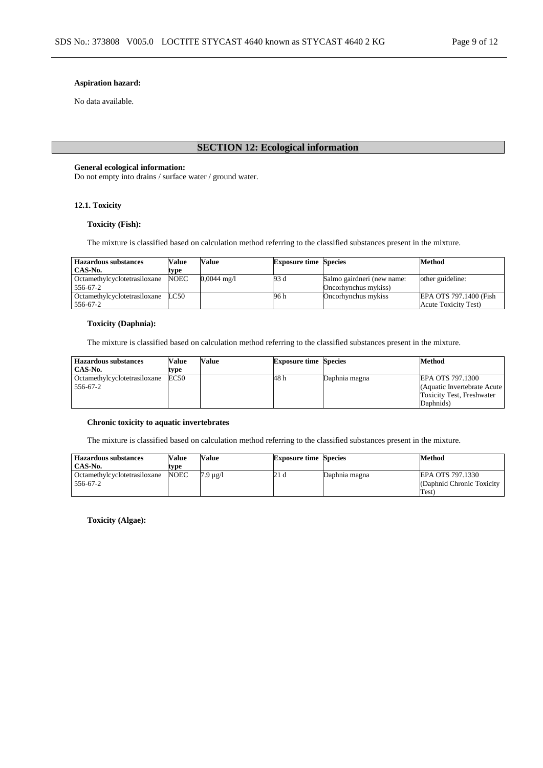### **Aspiration hazard:**

No data available.

## **SECTION 12: Ecological information**

## **General ecological information:**

Do not empty into drains / surface water / ground water.

## **12.1. Toxicity**

## **Toxicity (Fish):**

The mixture is classified based on calculation method referring to the classified substances present in the mixture.

| <b>Hazardous substances</b>  | Value       | Value                 | <b>Exposure time Species</b> |                            | Method                       |
|------------------------------|-------------|-----------------------|------------------------------|----------------------------|------------------------------|
| CAS-No.                      | type        |                       |                              |                            |                              |
| Octamethylcyclotetrasiloxane | <b>NOEC</b> | $0,0044 \text{ mg}/1$ | 93 d                         | Salmo gairdneri (new name: | other guideline:             |
| 556-67-2                     |             |                       |                              | Oncorhynchus mykiss)       |                              |
| Octamethylcyclotetrasiloxane | LC50        |                       | 96 h                         | Oncorhynchus mykiss        | EPA OTS 797.1400 (Fish       |
| 556-67-2                     |             |                       |                              |                            | <b>Acute Toxicity Test</b> ) |

## **Toxicity (Daphnia):**

The mixture is classified based on calculation method referring to the classified substances present in the mixture.

| <b>Hazardous substances</b>  | Value | Value | <b>Exposure time Species</b> |               | <b>Method</b>                    |
|------------------------------|-------|-------|------------------------------|---------------|----------------------------------|
| CAS-No.                      | tvpe  |       |                              |               |                                  |
| Octamethylcyclotetrasiloxane | EC50  |       | 48 h                         | Daphnia magna | EPA OTS 797.1300                 |
| 556-67-2                     |       |       |                              |               | (Aquatic Invertebrate Acute)     |
|                              |       |       |                              |               | <b>Toxicity Test, Freshwater</b> |
|                              |       |       |                              |               | Daphnids)                        |

### **Chronic toxicity to aquatic invertebrates**

The mixture is classified based on calculation method referring to the classified substances present in the mixture.

| <b>Hazardous substances</b>  | Value | Value    | <b>Exposure time Species</b> |               | Method                     |
|------------------------------|-------|----------|------------------------------|---------------|----------------------------|
| CAS-No.                      | type  |          |                              |               |                            |
| Octamethylcyclotetrasiloxane | NOEC  | 7.9 µg/l | 21 d                         | Daphnia magna | EPA OTS 797.1330           |
| 556-67-2                     |       |          |                              |               | (Daphnid Chronic Toxicity) |
|                              |       |          |                              |               | Test)                      |

**Toxicity (Algae):**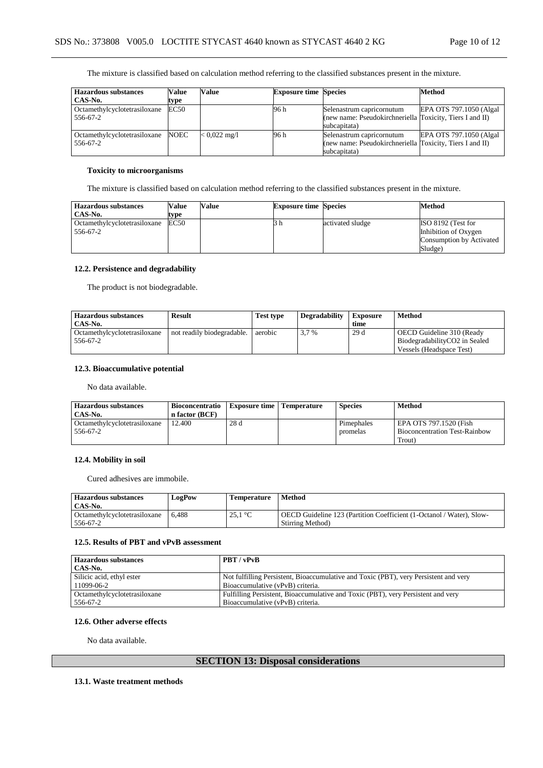The mixture is classified based on calculation method referring to the classified substances present in the mixture.

| <b>Hazardous substances</b>  | Value       | Value                  | <b>Exposure time Species</b> |                                                          | <b>Method</b>            |
|------------------------------|-------------|------------------------|------------------------------|----------------------------------------------------------|--------------------------|
| CAS-No.                      | type        |                        |                              |                                                          |                          |
| Octamethylcyclotetrasiloxane | <b>EC50</b> |                        | 96 h                         | Selenastrum capricornutum                                | EPA OTS 797.1050 (Algal) |
| 556-67-2                     |             |                        |                              | (new name: Pseudokirchneriella Toxicity, Tiers I and II) |                          |
|                              |             |                        |                              | subcapitata)                                             |                          |
| Octamethylcyclotetrasiloxane | <b>NOEC</b> | $< 0.022 \text{ mg/l}$ | 96 h                         | Selenastrum capricornutum                                | EPA OTS 797.1050 (Algal  |
| 556-67-2                     |             |                        |                              | (new name: Pseudokirchneriella Toxicity, Tiers I and II) |                          |
|                              |             |                        |                              | subcapitata)                                             |                          |

## **Toxicity to microorganisms**

The mixture is classified based on calculation method referring to the classified substances present in the mixture.

| <b>Hazardous substances</b>              | Value | Value | <b>Exposure time Species</b> |                  | Method                                                                            |
|------------------------------------------|-------|-------|------------------------------|------------------|-----------------------------------------------------------------------------------|
| CAS-No.                                  | type  |       |                              |                  |                                                                                   |
| Octamethylcyclotetrasiloxane<br>556-67-2 | EC50  |       | эn                           | activated sludge | ISO 8192 (Test for<br>Inhibition of Oxygen<br>Consumption by Activated<br>Sludge) |

## **12.2. Persistence and degradability**

The product is not biodegradable.

| <b>Hazardous substances</b>  | <b>Result</b>              | <b>Test type</b> | <b>Degradability</b> | Exposure | <b>Method</b>                 |
|------------------------------|----------------------------|------------------|----------------------|----------|-------------------------------|
| CAS-No.                      |                            |                  |                      | time     |                               |
| Octamethylcyclotetrasiloxane | not readily biodegradable. | aerobic          | 3.7 %                | 29d      | OECD Guideline 310 (Ready     |
| 556-67-2                     |                            |                  |                      |          | BiodegradabilityCO2 in Sealed |
|                              |                            |                  |                      |          | Vessels (Headspace Test)      |

## **12.3. Bioaccumulative potential**

No data available.

| <b>Hazardous substances</b><br>CAS-No.   | <b>Bioconcentratio</b><br>n factor (BCF) | <b>Exposure time   Temperature</b> | <b>Species</b> | <b>Method</b>                                                  |
|------------------------------------------|------------------------------------------|------------------------------------|----------------|----------------------------------------------------------------|
| Octamethylcyclotetrasiloxane<br>556-67-2 | 12.400                                   | 28d                                | Pimephales     | EPA OTS 797.1520 (Fish<br><b>Bioconcentration Test-Rainbow</b> |
|                                          |                                          |                                    | promelas       | Trout)                                                         |

### **12.4. Mobility in soil**

Cured adhesives are immobile.

| <b>Hazardous substances</b><br>CAS-No.   | <b>LogPow</b> | <b>Temperature</b> | Method                                                                                   |
|------------------------------------------|---------------|--------------------|------------------------------------------------------------------------------------------|
| Octamethylcyclotetrasiloxane<br>556-67-2 | 6.488         | 25.1 $^{\circ}$ C  | OECD Guideline 123 (Partition Coefficient (1-Octanol / Water), Slow-<br>Stirring Method) |

#### **12.5. Results of PBT and vPvB assessment**

| <b>Hazardous substances</b>  | PBT / vPvB                                                                           |
|------------------------------|--------------------------------------------------------------------------------------|
| CAS-No.                      |                                                                                      |
| Silicic acid, ethyl ester    | Not fulfilling Persistent, Bioaccumulative and Toxic (PBT), very Persistent and very |
| 11099-06-2                   | Bioaccumulative (vPvB) criteria.                                                     |
| Octamethylcyclotetrasiloxane | Fulfilling Persistent, Bioaccumulative and Toxic (PBT), very Persistent and very     |
| 556-67-2                     | Bioaccumulative (vPvB) criteria.                                                     |

#### **12.6. Other adverse effects**

No data available.

## **SECTION 13: Disposal considerations**

#### **13.1. Waste treatment methods**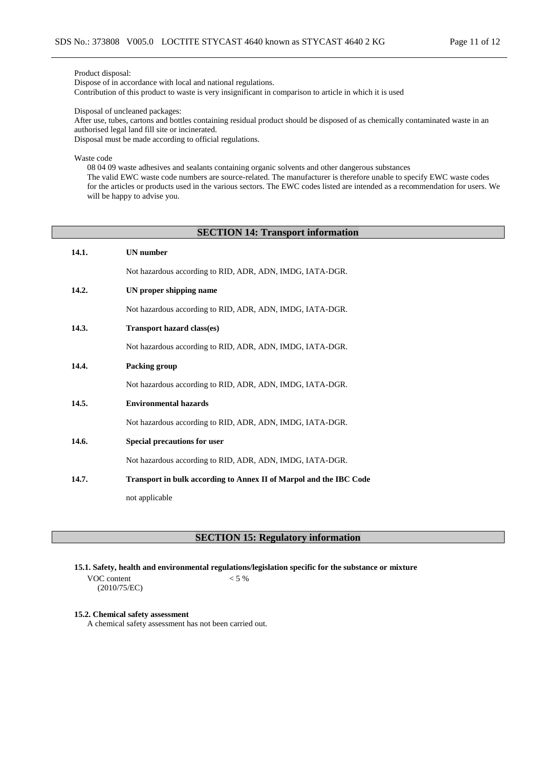Product disposal:

Dispose of in accordance with local and national regulations. Contribution of this product to waste is very insignificant in comparison to article in which it is used

Disposal of uncleaned packages:

After use, tubes, cartons and bottles containing residual product should be disposed of as chemically contaminated waste in an authorised legal land fill site or incinerated.

Disposal must be made according to official regulations.

Waste code

08 04 09 waste adhesives and sealants containing organic solvents and other dangerous substances The valid EWC waste code numbers are source-related. The manufacturer is therefore unable to specify EWC waste codes for the articles or products used in the various sectors. The EWC codes listed are intended as a recommendation for users. We will be happy to advise you.

## **SECTION 14: Transport information**

| 14.1. | <b>UN</b> number                                                   |
|-------|--------------------------------------------------------------------|
|       | Not hazardous according to RID, ADR, ADN, IMDG, IATA-DGR.          |
| 14.2. | UN proper shipping name                                            |
|       | Not hazardous according to RID, ADR, ADN, IMDG, IATA-DGR.          |
| 14.3. | <b>Transport hazard class(es)</b>                                  |
|       | Not hazardous according to RID, ADR, ADN, IMDG, IATA-DGR.          |
| 14.4. | Packing group                                                      |
|       | Not hazardous according to RID, ADR, ADN, IMDG, IATA-DGR.          |
| 14.5. | <b>Environmental hazards</b>                                       |
|       | Not hazardous according to RID, ADR, ADN, IMDG, IATA-DGR.          |
| 14.6. | Special precautions for user                                       |
|       | Not hazardous according to RID, ADR, ADN, IMDG, IATA-DGR.          |
| 14.7. | Transport in bulk according to Annex II of Marpol and the IBC Code |
|       | not applicable                                                     |

**SECTION 15: Regulatory information**

**15.1. Safety, health and environmental regulations/legislation specific for the substance or mixture**

VOC content (2010/75/EC)  $< 5 %$ 

#### **15.2. Chemical safety assessment**

A chemical safety assessment has not been carried out.